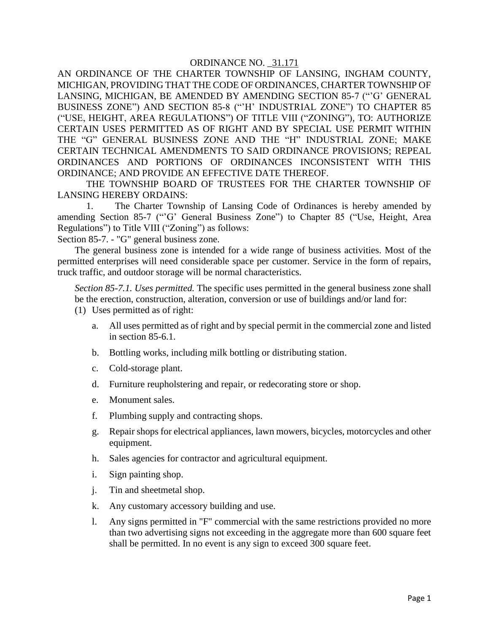AN ORDINANCE OF THE CHARTER TOWNSHIP OF LANSING, INGHAM COUNTY, MICHIGAN, PROVIDING THAT THE CODE OF ORDINANCES, CHARTER TOWNSHIP OF LANSING, MICHIGAN, BE AMENDED BY AMENDING SECTION 85-7 ("'G' GENERAL BUSINESS ZONE") AND SECTION 85-8 ("'H' INDUSTRIAL ZONE") TO CHAPTER 85 ("USE, HEIGHT, AREA REGULATIONS") OF TITLE VIII ("ZONING"), TO: AUTHORIZE CERTAIN USES PERMITTED AS OF RIGHT AND BY SPECIAL USE PERMIT WITHIN THE "G" GENERAL BUSINESS ZONE AND THE "H" INDUSTRIAL ZONE; MAKE CERTAIN TECHNICAL AMENDMENTS TO SAID ORDINANCE PROVISIONS; REPEAL ORDINANCES AND PORTIONS OF ORDINANCES INCONSISTENT WITH THIS ORDINANCE; AND PROVIDE AN EFFECTIVE DATE THEREOF.

THE TOWNSHIP BOARD OF TRUSTEES FOR THE CHARTER TOWNSHIP OF LANSING HEREBY ORDAINS:

1. The Charter Township of Lansing Code of Ordinances is hereby amended by amending Section 85-7 ("'G' General Business Zone") to Chapter 85 ("Use, Height, Area Regulations") to Title VIII ("Zoning") as follows:

Section 85-7. - "G" general business zone.

The general business zone is intended for a wide range of business activities. Most of the permitted enterprises will need considerable space per customer. Service in the form of repairs, truck traffic, and outdoor storage will be normal characteristics.

*Section 85-7.1. Uses permitted.* The specific uses permitted in the general business zone shall be the erection, construction, alteration, conversion or use of buildings and/or land for:

- (1) Uses permitted as of right:
	- a. All uses permitted as of right and by special permit in the commercial zone and listed in section 85-6.1.
	- b. Bottling works, including milk bottling or distributing station.
	- c. Cold-storage plant.
	- d. Furniture reupholstering and repair, or redecorating store or shop.
	- e. Monument sales.
	- f. Plumbing supply and contracting shops.
	- g. Repair shops for electrical appliances, lawn mowers, bicycles, motorcycles and other equipment.
	- h. Sales agencies for contractor and agricultural equipment.
	- i. Sign painting shop.
	- j. Tin and sheetmetal shop.
	- k. Any customary accessory building and use.
	- l. Any signs permitted in "F" commercial with the same restrictions provided no more than two advertising signs not exceeding in the aggregate more than 600 square feet shall be permitted. In no event is any sign to exceed 300 square feet.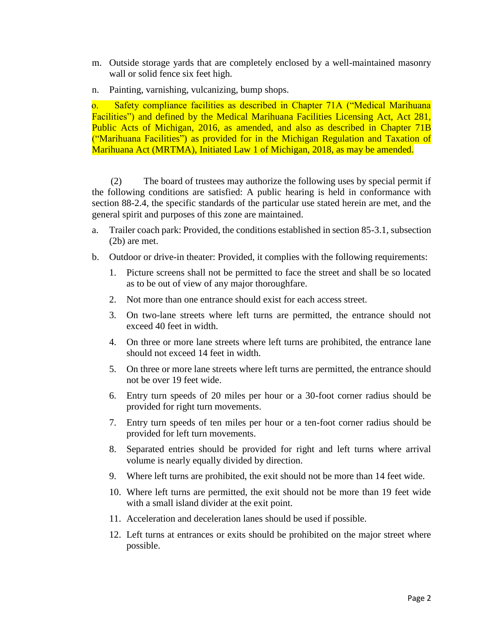- m. Outside storage yards that are completely enclosed by a well-maintained masonry wall or solid fence six feet high.
- n. Painting, varnishing, vulcanizing, bump shops.

 o. Safety compliance facilities as described in Chapter 71A ("Medical Marihuana Facilities") and defined by the Medical Marihuana Facilities Licensing Act, Act 281, Public Acts of Michigan, 2016, as amended, and also as described in Chapter 71B ("Marihuana Facilities") as provided for in the Michigan Regulation and Taxation of Marihuana Act (MRTMA), Initiated Law 1 of Michigan, 2018, as may be amended.

 (2) The board of trustees may authorize the following uses by special permit if the following conditions are satisfied: A public hearing is held in conformance with section 88-2.4, the specific standards of the particular use stated herein are met, and the general spirit and purposes of this zone are maintained.

- a. Trailer coach park: Provided, the conditions established in section 85-3.1, subsection (2b) are met.
- b. Outdoor or drive-in theater: Provided, it complies with the following requirements:
	- 1. Picture screens shall not be permitted to face the street and shall be so located as to be out of view of any major thoroughfare.
	- 2. Not more than one entrance should exist for each access street.
	- 3. On two-lane streets where left turns are permitted, the entrance should not exceed 40 feet in width.
	- 4. On three or more lane streets where left turns are prohibited, the entrance lane should not exceed 14 feet in width.
	- 5. On three or more lane streets where left turns are permitted, the entrance should not be over 19 feet wide.
	- 6. Entry turn speeds of 20 miles per hour or a 30-foot corner radius should be provided for right turn movements.
	- 7. Entry turn speeds of ten miles per hour or a ten-foot corner radius should be provided for left turn movements.
	- 8. Separated entries should be provided for right and left turns where arrival volume is nearly equally divided by direction.
	- 9. Where left turns are prohibited, the exit should not be more than 14 feet wide.
	- 10. Where left turns are permitted, the exit should not be more than 19 feet wide with a small island divider at the exit point.
	- 11. Acceleration and deceleration lanes should be used if possible.
	- 12. Left turns at entrances or exits should be prohibited on the major street where possible.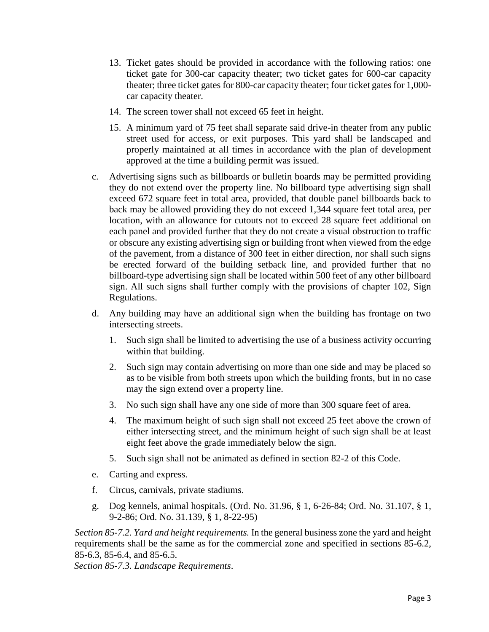- 13. Ticket gates should be provided in accordance with the following ratios: one ticket gate for 300-car capacity theater; two ticket gates for 600-car capacity theater; three ticket gates for 800-car capacity theater; four ticket gates for 1,000 car capacity theater.
- 14. The screen tower shall not exceed 65 feet in height.
- 15. A minimum yard of 75 feet shall separate said drive-in theater from any public street used for access, or exit purposes. This yard shall be landscaped and properly maintained at all times in accordance with the plan of development approved at the time a building permit was issued.
- c. Advertising signs such as billboards or bulletin boards may be permitted providing they do not extend over the property line. No billboard type advertising sign shall exceed 672 square feet in total area, provided, that double panel billboards back to back may be allowed providing they do not exceed 1,344 square feet total area, per location, with an allowance for cutouts not to exceed 28 square feet additional on each panel and provided further that they do not create a visual obstruction to traffic or obscure any existing advertising sign or building front when viewed from the edge of the pavement, from a distance of 300 feet in either direction, nor shall such signs be erected forward of the building setback line, and provided further that no billboard-type advertising sign shall be located within 500 feet of any other billboard sign. All such signs shall further comply with the provisions of chapter 102, Sign Regulations.
- d. Any building may have an additional sign when the building has frontage on two intersecting streets.
	- 1. Such sign shall be limited to advertising the use of a business activity occurring within that building.
	- 2. Such sign may contain advertising on more than one side and may be placed so as to be visible from both streets upon which the building fronts, but in no case may the sign extend over a property line.
	- 3. No such sign shall have any one side of more than 300 square feet of area.
	- 4. The maximum height of such sign shall not exceed 25 feet above the crown of either intersecting street, and the minimum height of such sign shall be at least eight feet above the grade immediately below the sign.
	- 5. Such sign shall not be animated as defined in section 82-2 of this Code.
- e. Carting and express.
- f. Circus, carnivals, private stadiums.
- g. Dog kennels, animal hospitals. (Ord. No. 31.96, § 1, 6-26-84; Ord. No. 31.107, § 1, 9-2-86; Ord. No. 31.139, § 1, 8-22-95)

*Section 85-7.2. Yard and height requirements.* In the general business zone the yard and height requirements shall be the same as for the commercial zone and specified in sections 85-6.2, 85-6.3, 85-6.4, and 85-6.5.

*Section 85-7.3. Landscape Requirements*.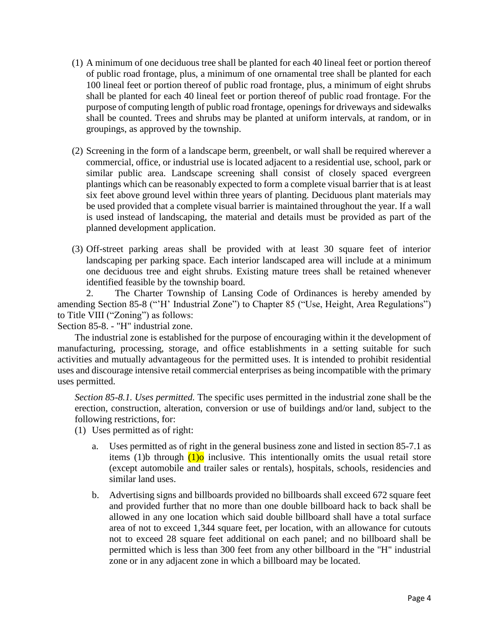- (1) A minimum of one deciduous tree shall be planted for each 40 lineal feet or portion thereof of public road frontage, plus, a minimum of one ornamental tree shall be planted for each 100 lineal feet or portion thereof of public road frontage, plus, a minimum of eight shrubs shall be planted for each 40 lineal feet or portion thereof of public road frontage. For the purpose of computing length of public road frontage, openings for driveways and sidewalks shall be counted. Trees and shrubs may be planted at uniform intervals, at random, or in groupings, as approved by the township.
- (2) Screening in the form of a landscape berm, greenbelt, or wall shall be required wherever a commercial, office, or industrial use is located adjacent to a residential use, school, park or similar public area. Landscape screening shall consist of closely spaced evergreen plantings which can be reasonably expected to form a complete visual barrier that is at least six feet above ground level within three years of planting. Deciduous plant materials may be used provided that a complete visual barrier is maintained throughout the year. If a wall is used instead of landscaping, the material and details must be provided as part of the planned development application.
- (3) Off-street parking areas shall be provided with at least 30 square feet of interior landscaping per parking space. Each interior landscaped area will include at a minimum one deciduous tree and eight shrubs. Existing mature trees shall be retained whenever identified feasible by the township board.

2. The Charter Township of Lansing Code of Ordinances is hereby amended by amending Section 85-8 ("'H' Industrial Zone") to Chapter 85 ("Use, Height, Area Regulations") to Title VIII ("Zoning") as follows:

Section 85-8. - "H" industrial zone.

The industrial zone is established for the purpose of encouraging within it the development of manufacturing, processing, storage, and office establishments in a setting suitable for such activities and mutually advantageous for the permitted uses. It is intended to prohibit residential uses and discourage intensive retail commercial enterprises as being incompatible with the primary uses permitted.

*Section 85-8.1. Uses permitted.* The specific uses permitted in the industrial zone shall be the erection, construction, alteration, conversion or use of buildings and/or land, subject to the following restrictions, for:

- (1) Uses permitted as of right:
	- a. Uses permitted as of right in the general business zone and listed in section 85-7.1 as items (1)b through  $(1)$ <sup>o</sup> inclusive. This intentionally omits the usual retail store (except automobile and trailer sales or rentals), hospitals, schools, residencies and similar land uses.
	- b. Advertising signs and billboards provided no billboards shall exceed 672 square feet and provided further that no more than one double billboard hack to back shall be allowed in any one location which said double billboard shall have a total surface area of not to exceed 1,344 square feet, per location, with an allowance for cutouts not to exceed 28 square feet additional on each panel; and no billboard shall be permitted which is less than 300 feet from any other billboard in the "H" industrial zone or in any adjacent zone in which a billboard may be located.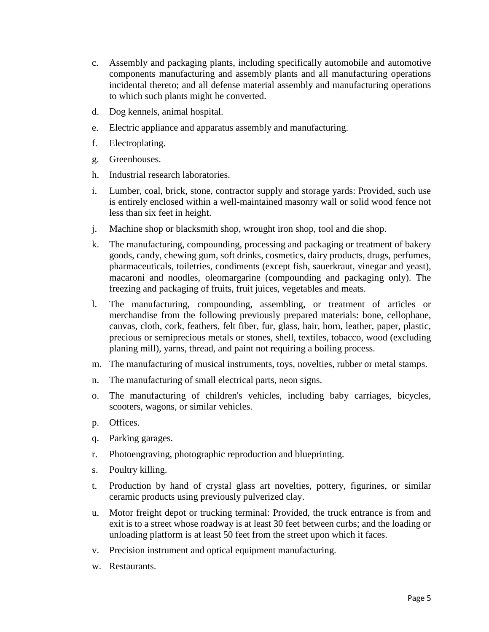- c. Assembly and packaging plants, including specifically automobile and automotive components manufacturing and assembly plants and all manufacturing operations incidental thereto; and all defense material assembly and manufacturing operations to which such plants might he converted.
- d. Dog kennels, animal hospital.
- e. Electric appliance and apparatus assembly and manufacturing.
- f. Electroplating.
- g. Greenhouses.
- h. Industrial research laboratories.
- i. Lumber, coal, brick, stone, contractor supply and storage yards: Provided, such use is entirely enclosed within a well-maintained masonry wall or solid wood fence not less than six feet in height.
- j. Machine shop or blacksmith shop, wrought iron shop, tool and die shop.
- k. The manufacturing, compounding, processing and packaging or treatment of bakery goods, candy, chewing gum, soft drinks, cosmetics, dairy products, drugs, perfumes, pharmaceuticals, toiletries, condiments (except fish, sauerkraut, vinegar and yeast), macaroni and noodles, oleomargarine (compounding and packaging only). The freezing and packaging of fruits, fruit juices, vegetables and meats.
- l. The manufacturing, compounding, assembling, or treatment of articles or merchandise from the following previously prepared materials: bone, cellophane, canvas, cloth, cork, feathers, felt fiber, fur, glass, hair, horn, leather, paper, plastic, precious or semiprecious metals or stones, shell, textiles, tobacco, wood (excluding planing mill), yarns, thread, and paint not requiring a boiling process.
- m. The manufacturing of musical instruments, toys, novelties, rubber or metal stamps.
- n. The manufacturing of small electrical parts, neon signs.
- o. The manufacturing of children's vehicles, including baby carriages, bicycles, scooters, wagons, or similar vehicles.
- p. Offices.
- q. Parking garages.
- r. Photoengraving, photographic reproduction and blueprinting.
- s. Poultry killing.
- t. Production by hand of crystal glass art novelties, pottery, figurines, or similar ceramic products using previously pulverized clay.
- u. Motor freight depot or trucking terminal: Provided, the truck entrance is from and exit is to a street whose roadway is at least 30 feet between curbs; and the loading or unloading platform is at least 50 feet from the street upon which it faces.
- v. Precision instrument and optical equipment manufacturing.
- w. Restaurants.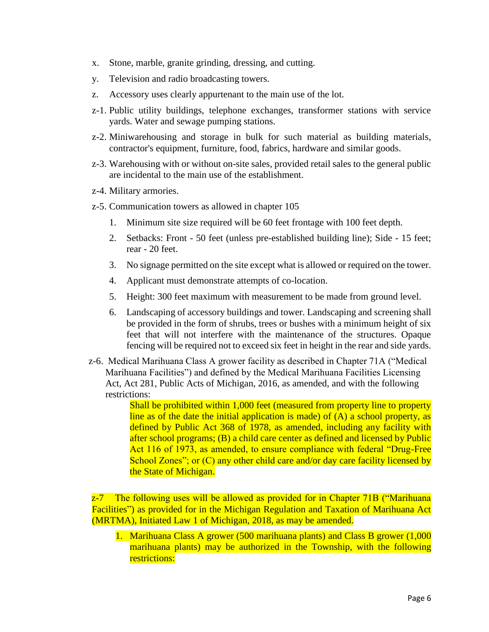- x. Stone, marble, granite grinding, dressing, and cutting.
- y. Television and radio broadcasting towers.
- z. Accessory uses clearly appurtenant to the main use of the lot.
- z-1. Public utility buildings, telephone exchanges, transformer stations with service yards. Water and sewage pumping stations.
- z-2. Miniwarehousing and storage in bulk for such material as building materials, contractor's equipment, furniture, food, fabrics, hardware and similar goods.
- z-3. Warehousing with or without on-site sales, provided retail sales to the general public are incidental to the main use of the establishment.
- z-4. Military armories.
- z-5. Communication towers as allowed in chapter 105
	- 1. Minimum site size required will be 60 feet frontage with 100 feet depth.
	- 2. Setbacks: Front 50 feet (unless pre-established building line); Side 15 feet; rear - 20 feet.
	- 3. No signage permitted on the site except what is allowed or required on the tower.
	- 4. Applicant must demonstrate attempts of co-location.
	- 5. Height: 300 feet maximum with measurement to be made from ground level.
	- 6. Landscaping of accessory buildings and tower. Landscaping and screening shall be provided in the form of shrubs, trees or bushes with a minimum height of six feet that will not interfere with the maintenance of the structures. Opaque fencing will be required not to exceed six feet in height in the rear and side yards.
- z-6. Medical Marihuana Class A grower facility as described in Chapter 71A ("Medical Marihuana Facilities") and defined by the Medical Marihuana Facilities Licensing Act, Act 281, Public Acts of Michigan, 2016, as amended, and with the following restrictions:

Shall be prohibited within 1,000 feet (measured from property line to property line as of the date the initial application is made) of (A) a school property, as defined by Public Act 368 of 1978, as amended, including any facility with after school programs; (B) a child care center as defined and licensed by Public Act 116 of 1973, as amended, to ensure compliance with federal "Drug-Free School Zones"; or (C) any other child care and/or day care facility licensed by the State of Michigan.

z-7 The following uses will be allowed as provided for in Chapter 71B ("Marihuana" Facilities") as provided for in the Michigan Regulation and Taxation of Marihuana Act (MRTMA), Initiated Law 1 of Michigan, 2018, as may be amended.

1. Marihuana Class A grower (500 marihuana plants) and Class B grower (1,000 marihuana plants) may be authorized in the Township, with the following restrictions: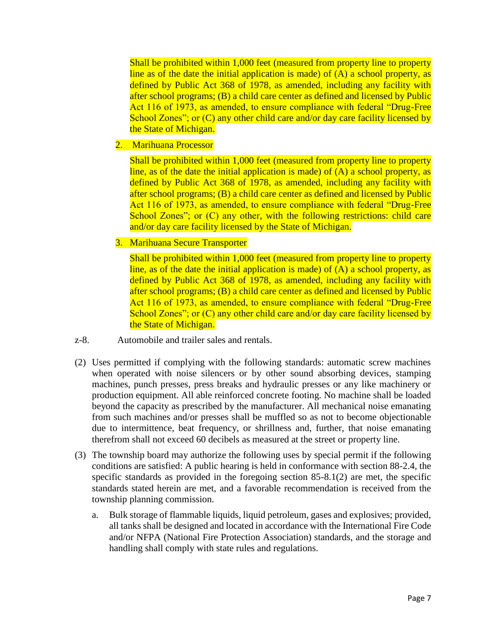Shall be prohibited within 1,000 feet (measured from property line to property line as of the date the initial application is made) of (A) a school property, as defined by Public Act 368 of 1978, as amended, including any facility with after school programs; (B) a child care center as defined and licensed by Public Act 116 of 1973, as amended, to ensure compliance with federal "Drug-Free School Zones"; or (C) any other child care and/or day care facility licensed by the State of Michigan.

2. Marihuana Processor

Shall be prohibited within 1,000 feet (measured from property line to property line, as of the date the initial application is made) of (A) a school property, as defined by Public Act 368 of 1978, as amended, including any facility with after school programs; (B) a child care center as defined and licensed by Public Act 116 of 1973, as amended, to ensure compliance with federal "Drug-Free School Zones"; or (C) any other, with the following restrictions: child care and/or day care facility licensed by the State of Michigan.

3. Marihuana Secure Transporter

Shall be prohibited within 1,000 feet (measured from property line to property line, as of the date the initial application is made) of (A) a school property, as defined by Public Act 368 of 1978, as amended, including any facility with after school programs; (B) a child care center as defined and licensed by Public Act 116 of 1973, as amended, to ensure compliance with federal "Drug-Free School Zones"; or (C) any other child care and/or day care facility licensed by the State of Michigan.

- z-8. Automobile and trailer sales and rentals.
- (2) Uses permitted if complying with the following standards: automatic screw machines when operated with noise silencers or by other sound absorbing devices, stamping machines, punch presses, press breaks and hydraulic presses or any like machinery or production equipment. All able reinforced concrete footing. No machine shall be loaded beyond the capacity as prescribed by the manufacturer. All mechanical noise emanating from such machines and/or presses shall be muffled so as not to become objectionable due to intermittence, beat frequency, or shrillness and, further, that noise emanating therefrom shall not exceed 60 decibels as measured at the street or property line.
- (3) The township board may authorize the following uses by special permit if the following conditions are satisfied: A public hearing is held in conformance with section 88-2.4, the specific standards as provided in the foregoing section 85-8.1(2) are met, the specific standards stated herein are met, and a favorable recommendation is received from the township planning commission.
	- a. Bulk storage of flammable liquids, liquid petroleum, gases and explosives; provided, all tanks shall be designed and located in accordance with the International Fire Code and/or NFPA (National Fire Protection Association) standards, and the storage and handling shall comply with state rules and regulations.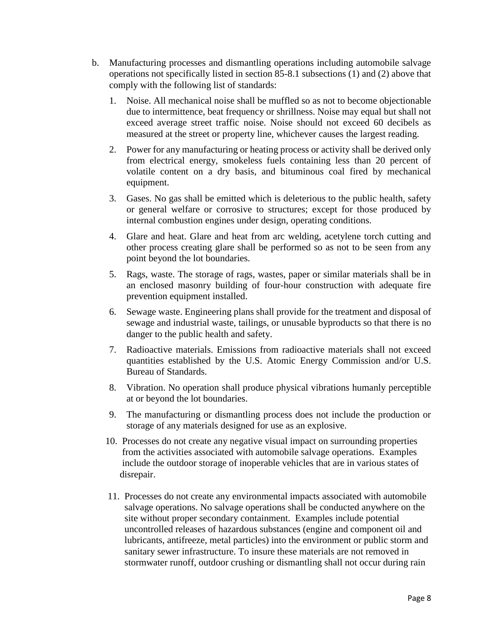- b. Manufacturing processes and dismantling operations including automobile salvage operations not specifically listed in section 85-8.1 subsections (1) and (2) above that comply with the following list of standards:
	- 1. Noise. All mechanical noise shall be muffled so as not to become objectionable due to intermittence, beat frequency or shrillness. Noise may equal but shall not exceed average street traffic noise. Noise should not exceed 60 decibels as measured at the street or property line, whichever causes the largest reading.
	- 2. Power for any manufacturing or heating process or activity shall be derived only from electrical energy, smokeless fuels containing less than 20 percent of volatile content on a dry basis, and bituminous coal fired by mechanical equipment.
	- 3. Gases. No gas shall be emitted which is deleterious to the public health, safety or general welfare or corrosive to structures; except for those produced by internal combustion engines under design, operating conditions.
	- 4. Glare and heat. Glare and heat from arc welding, acetylene torch cutting and other process creating glare shall be performed so as not to be seen from any point beyond the lot boundaries.
	- 5. Rags, waste. The storage of rags, wastes, paper or similar materials shall be in an enclosed masonry building of four-hour construction with adequate fire prevention equipment installed.
	- 6. Sewage waste. Engineering plans shall provide for the treatment and disposal of sewage and industrial waste, tailings, or unusable byproducts so that there is no danger to the public health and safety.
	- 7. Radioactive materials. Emissions from radioactive materials shall not exceed quantities established by the U.S. Atomic Energy Commission and/or U.S. Bureau of Standards.
	- 8. Vibration. No operation shall produce physical vibrations humanly perceptible at or beyond the lot boundaries.
	- 9. The manufacturing or dismantling process does not include the production or storage of any materials designed for use as an explosive.
	- 10. Processes do not create any negative visual impact on surrounding properties from the activities associated with automobile salvage operations. Examples include the outdoor storage of inoperable vehicles that are in various states of disrepair.
	- 11. Processes do not create any environmental impacts associated with automobile salvage operations. No salvage operations shall be conducted anywhere on the site without proper secondary containment. Examples include potential uncontrolled releases of hazardous substances (engine and component oil and lubricants, antifreeze, metal particles) into the environment or public storm and sanitary sewer infrastructure. To insure these materials are not removed in stormwater runoff, outdoor crushing or dismantling shall not occur during rain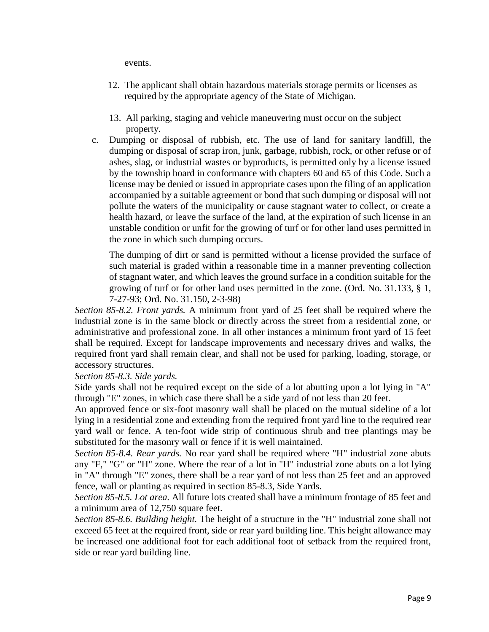events.

- 12. The applicant shall obtain hazardous materials storage permits or licenses as required by the appropriate agency of the State of Michigan.
- 13. All parking, staging and vehicle maneuvering must occur on the subject property.
- c. Dumping or disposal of rubbish, etc. The use of land for sanitary landfill, the dumping or disposal of scrap iron, junk, garbage, rubbish, rock, or other refuse or of ashes, slag, or industrial wastes or byproducts, is permitted only by a license issued by the township board in conformance with chapters 60 and 65 of this Code. Such a license may be denied or issued in appropriate cases upon the filing of an application accompanied by a suitable agreement or bond that such dumping or disposal will not pollute the waters of the municipality or cause stagnant water to collect, or create a health hazard, or leave the surface of the land, at the expiration of such license in an unstable condition or unfit for the growing of turf or for other land uses permitted in the zone in which such dumping occurs.

The dumping of dirt or sand is permitted without a license provided the surface of such material is graded within a reasonable time in a manner preventing collection of stagnant water, and which leaves the ground surface in a condition suitable for the growing of turf or for other land uses permitted in the zone. (Ord. No. 31.133, § 1, 7-27-93; Ord. No. 31.150, 2-3-98)

*Section 85-8.2. Front yards.* A minimum front yard of 25 feet shall be required where the industrial zone is in the same block or directly across the street from a residential zone, or administrative and professional zone. In all other instances a minimum front yard of 15 feet shall be required. Except for landscape improvements and necessary drives and walks, the required front yard shall remain clear, and shall not be used for parking, loading, storage, or accessory structures.

*Section 85-8.3. Side yards.*

Side yards shall not be required except on the side of a lot abutting upon a lot lying in "A" through "E" zones, in which case there shall be a side yard of not less than 20 feet.

An approved fence or six-foot masonry wall shall be placed on the mutual sideline of a lot lying in a residential zone and extending from the required front yard line to the required rear yard wall or fence. A ten-foot wide strip of continuous shrub and tree plantings may be substituted for the masonry wall or fence if it is well maintained.

*Section 85-8.4. Rear yards.* No rear yard shall be required where "H" industrial zone abuts any "F," "G" or "H" zone. Where the rear of a lot in "H" industrial zone abuts on a lot lying in "A" through "E" zones, there shall be a rear yard of not less than 25 feet and an approved fence, wall or planting as required in section 85-8.3, Side Yards.

*Section 85-8.5. Lot area.* All future lots created shall have a minimum frontage of 85 feet and a minimum area of 12,750 square feet.

*Section 85-8.6. Building height.* The height of a structure in the "H" industrial zone shall not exceed 65 feet at the required front, side or rear yard building line. This height allowance may be increased one additional foot for each additional foot of setback from the required front, side or rear yard building line.